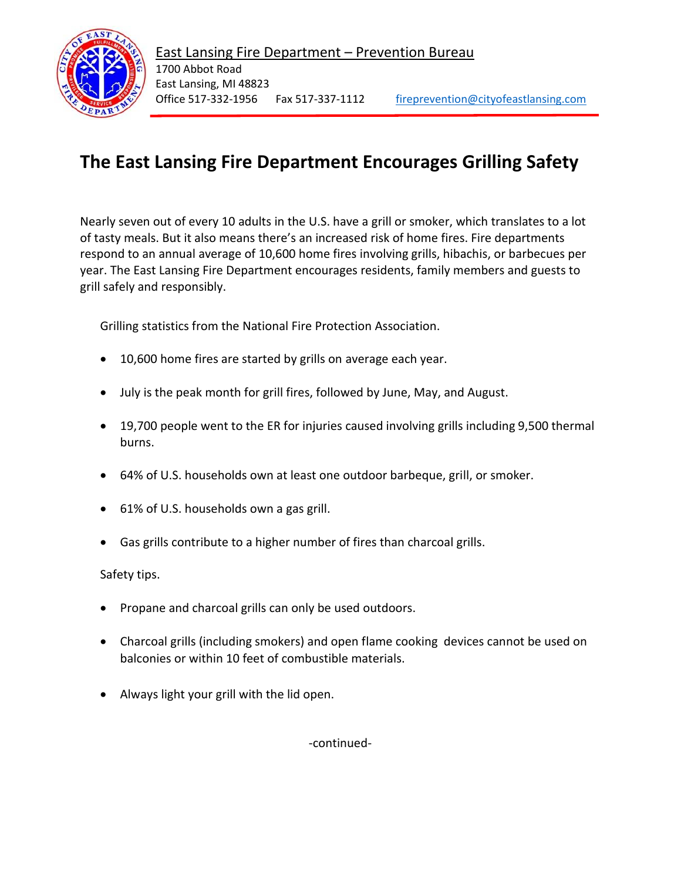

## **The East Lansing Fire Department Encourages Grilling Safety**

Nearly seven out of every 10 adults in the U.S. have a grill or smoker, which translates to a lot of tasty meals. But it also means there's an increased risk of home fires. Fire departments respond to an annual average of 10,600 home fires involving grills, hibachis, or barbecues per year. The East Lansing Fire Department encourages residents, family members and guests to grill safely and responsibly.

Grilling statistics from the National Fire Protection Association.

- 10,600 home fires are started by grills on average each year.
- July is the peak month for grill fires, followed by June, May, and August.
- 19,700 people went to the ER for injuries caused involving grills including 9,500 thermal burns.
- 64% of U.S. households own at least one outdoor barbeque, grill, or smoker.
- 61% of U.S. households own a gas grill.
- Gas grills contribute to a higher number of fires than charcoal grills.

Safety tips.

- Propane and charcoal grills can only be used outdoors.
- Charcoal grills (including smokers) and open flame cooking devices cannot be used on balconies or within 10 feet of combustible materials.
- Always light your grill with the lid open.

-continued-